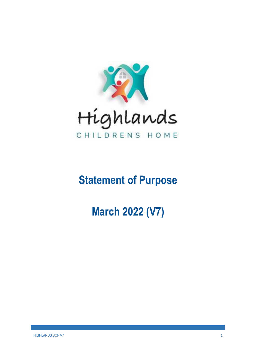

# **Statement of Purpose**

# **March 2022 (V7)**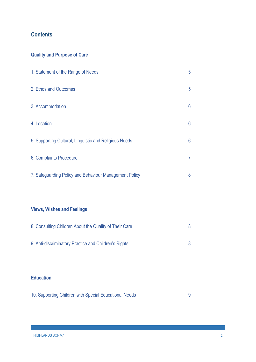# **Contents**

# **Quality and Purpose of Care**

| 1. Statement of the Range of Needs                     | 5 |
|--------------------------------------------------------|---|
| 2. Ethos and Outcomes                                  | 5 |
| 3. Accommodation                                       | 6 |
| 4. Location                                            | 6 |
| 5. Supporting Cultural, Linguistic and Religious Needs | 6 |
| 6. Complaints Procedure                                |   |
| 7. Safeguarding Policy and Behaviour Management Policy | 8 |
|                                                        |   |

# **Views, Wishes and Feelings**

| 8. Consulting Children About the Quality of Their Care |  |  |
|--------------------------------------------------------|--|--|
|                                                        |  |  |
| 9. Anti-discriminatory Practice and Children's Rights  |  |  |

# **Education**

|  |  |  | 10. Supporting Children with Special Educational Needs |  |
|--|--|--|--------------------------------------------------------|--|
|--|--|--|--------------------------------------------------------|--|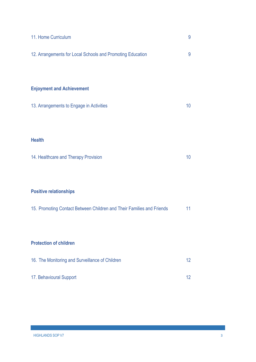| 11. Home Curriculum                                                   | 9  |
|-----------------------------------------------------------------------|----|
| 12. Arrangements for Local Schools and Promoting Education            | 9  |
|                                                                       |    |
| <b>Enjoyment and Achievement</b>                                      |    |
| 13. Arrangements to Engage in Activities                              | 10 |
|                                                                       |    |
| <b>Health</b>                                                         |    |
| 14. Healthcare and Therapy Provision                                  | 10 |
|                                                                       |    |
| <b>Positive relationships</b>                                         |    |
| 15. Promoting Contact Between Children and Their Families and Friends | 11 |
|                                                                       |    |
| <b>Protection of children</b>                                         |    |
| 16. The Monitoring and Surveillance of Children                       | 12 |
| 17. Behavioural Support                                               | 12 |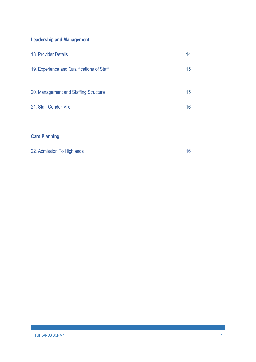# **Leadership and Management**

| 18. Provider Details                       | 14 |  |
|--------------------------------------------|----|--|
| 19. Experience and Qualifications of Staff | 15 |  |
|                                            |    |  |
| 20. Management and Staffing Structure      | 15 |  |
| 21. Staff Gender Mix                       | 16 |  |
|                                            |    |  |
|                                            |    |  |
| <b>Care Planning</b>                       |    |  |

|  | 22. Admission To Highlands |  |
|--|----------------------------|--|
|--|----------------------------|--|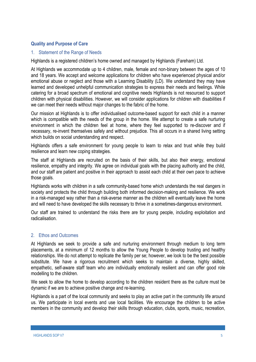# **Quality and Purpose of Care**

#### 1. Statement of the Range of Needs

Highlands is a registered children's home owned and managed by Highlands (Fareham) Ltd.

At Highlands we accommodate up to 4 children, male, female and non-binary between the ages of 10 and 18 years. We accept and welcome applications for children who have experienced physical and/or emotional abuse or neglect and those with a Learning Disability (LD). We understand they may have learned and developed unhelpful communication strategies to express their needs and feelings. While catering for a broad spectrum of emotional and cognitive needs Highlands is not resourced to support children with physical disabilities. However, we will consider applications for children with disabilities if we can meet their needs without major changes to the fabric of the home.

Our mission at Highlands is to offer individualised outcome-based support for each child in a manner which is compatible with the needs of the group in the home. We attempt to create a safe nurturing environment in which the children feel at home, where they feel supported to re-discover and if necessary, re-invent themselves safely and without prejudice. This all occurs in a shared living setting which builds on social understanding and respect.

Highlands offers a safe environment for young people to learn to relax and trust while they build resilience and learn new coping strategies.

The staff at Highlands are recruited on the basis of their skills, but also their energy, emotional resilience, empathy and integrity. We agree on individual goals with the placing authority and the child, and our staff are patient and positive in their approach to assist each child at their own pace to achieve those goals.

Highlands works with children in a safe community-based home which understands the real dangers in society and protects the child through building both informed decision-making and resilience. We work in a risk-managed way rather than a risk-averse manner as the children will eventually leave the home and will need to have developed the skills necessary to thrive in a sometimes-dangerous environment.

Our staff are trained to understand the risks there are for young people, including exploitation and radicalisation.

#### 2. Ethos and Outcomes

At Highlands we seek to provide a safe and nurturing environment through medium to long term placements, at a minimum of 12 months to allow the Young People to develop trusting and healthy relationships. We do not attempt to replicate the family per se; however, we look to be the best possible substitute. We have a rigorous recruitment which seeks to maintain a diverse, highly skilled, empathetic, self-aware staff team who are individually emotionally resilient and can offer good role modelling to the children.

We seek to allow the home to develop according to the children resident there as the culture must be dynamic if we are to achieve positive change and re-learning.

Highlands is a part of the local community and seeks to play an active part in the community life around us. We participate in local events and use local facilities. We encourage the children to be active members in the community and develop their skills through education, clubs, sports, music, recreation,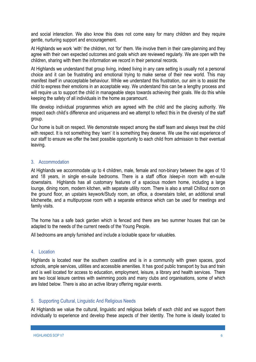and social interaction. We also know this does not come easy for many children and they require gentle, nurturing support and encouragement.

At Highlands we work 'with' the children, not 'for' them. We involve them in their care-planning and they agree with their own expected outcomes and goals which are reviewed regularly. We are open with the children, sharing with them the information we record in their personal records.

At Highlands we understand that group living, indeed living in any care setting is usually not a personal choice and it can be frustrating and emotional trying to make sense of their new world. This may manifest itself in unacceptable behaviour. While we understand this frustration, our aim is to assist the child to express their emotions in an acceptable way. We understand this can be a lengthy process and will require us to support the child in manageable steps towards achieving their goals. We do this while keeping the safety of all individuals in the home as paramount.

We develop individual programmes which are agreed with the child and the placing authority. We respect each child's difference and uniqueness and we attempt to reflect this in the diversity of the staff group.

Our home is built on respect. We demonstrate respect among the staff team and always treat the child with respect. It is not something they 'earn' it is something they deserve. We use the vast experience of our staff to ensure we offer the best possible opportunity to each child from admission to their eventual leaving.

# 3. Accommodation

At Highlands we accommodate up to 4 children, male, female and non-binary between the ages of 10 and 18 years, in single en-suite bedrooms. There is a staff office /sleep-in room with en-suite downstairs. Highlands has all customary features of a spacious modern home, including a large lounge, dining room, modern kitchen, with separate utility room. There is also a small Chillout room on the ground floor, an upstairs keywork/Study room, an office, a downstairs toilet, an additional small kitchenette, and a multipurpose room with a separate entrance which can be used for meetings and family visits.

The home has a safe back garden which is fenced and there are two summer houses that can be adapted to the needs of the current needs of the Young People.

All bedrooms are amply furnished and include a lockable space for valuables.

#### 4. Location

Highlands is located near the southern coastline and is in a community with green spaces, good schools, ample services, utilities and accessible amenities. It has good public transport by bus and train and is well located for access to education, employment, leisure, a library and health services. There are two local leisure centres with swimming pools and many clubs and organisations, some of which are listed below. There is also an active library offering regular events.

#### 5. Supporting Cultural, Linguistic And Religious Needs

At Highlands we value the cultural, linguistic and religious beliefs of each child and we support them individually to experience and develop these aspects of their identity. The home is ideally located to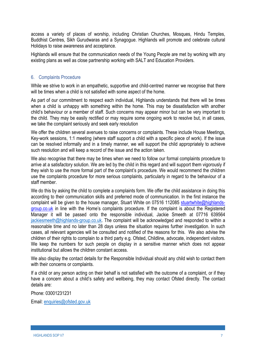access a variety of places of worship, including Christian Churches, Mosques, Hindu Temples, Buddhist Centres, Sikh Gurudwaras and a Synagogue. Highlands will promote and celebrate cultural Holidays to raise awareness and acceptance.

Highlands will ensure that the communication needs of the Young People are met by working with any existing plans as well as close partnership working with SALT and Education Providers.

# 6. Complaints Procedure

While we strive to work in an empathetic, supportive and child-centred manner we recognise that there will be times when a child is not satisfied with some aspect of the home.

As part of our commitment to respect each individual, Highlands understands that there will be times when a child is unhappy with something within the home. This may be dissatisfaction with another child's behaviour or a member of staff. Such concerns may appear minor but can be very important to the child. They may be easily rectified or may require some ongoing work to resolve but, in all cases, we take the complaint seriously and seek early resolution

We offer the children several avenues to raise concerns or complaints. These include House Meetings, Key-work sessions, 1:1 meeting (where staff support a child with a specific piece of work). If the issue can be resolved informally and in a timely manner, we will support the child appropriately to achieve such resolution and will keep a record of the issue and the action taken.

We also recognise that there may be times when we need to follow our formal complaints procedure to arrive at a satisfactory solution. We are led by the child in this regard and will support them vigorously if they wish to use the more formal part of the complaint's procedure. We would recommend the children use the complaints procedure for more serious complaints, particularly in regard to the behaviour of a staff member.

We do this by asking the child to complete a complaints form. We offer the child assistance in doing this according to their communication skills and preferred mode of communication. In the first instance the complaint will be given to the house manager, Stuart White on 07516 112085 stuartwhite@highlandsgroup.co.uk in line with the Home's complaints procedure. If the complaint is about the Registered Manager it will be passed onto the responsible individual, Jackie Smeeth at 07716 639564 jackiesmeeth@highlands-group.co.uk. The complaint will be acknowledged and responded to within a reasonable time and no later than 28 days unless the situation requires further investigation. In such cases, all relevant agencies will be consulted and notified of the reasons for this. We also advise the children of their rights to complain to a third party e.g. Ofsted, Childline, advocate, independent visitors. We keep the numbers for such people on display in a sensitive manner which does not appear institutional but allows the children constant access.

We also display the contact details for the Responsible Individual should any child wish to contact them with their concerns or complaints.

If a child or any person acting on their behalf is not satisfied with the outcome of a complaint, or if they have a concern about a child's safety and wellbeing, they may contact Ofsted directly. The contact details are:

Phone: 03001231231

Email: enquiries@ofsted.gov.uk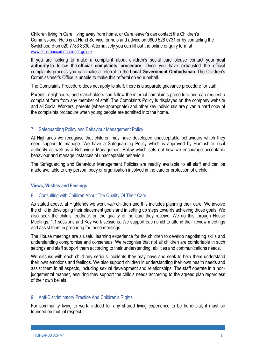Children living in Care, living away from home, or Care leaver's can contact the Children's Commissioner Help is at Hand Service for help and advice on 0800 528 0731 or by contacting the Switchboard on 020 7783 8330. Alternatively you can fill out the online enquiry form at www.childrenscommissioner.gov.uk

If you are looking to make a complaint about children's social care please contact your **local authority** to follow the **official complaints procedure**. Once you have exhausted the official complaints process you can make a referral to the **Local Government Ombudsman.** The Children's Commissioner's Office is unable to make this referral on your behalf.

The Complaints Procedure does not apply to staff; there is a separate grievance procedure for staff.

Parents, neighbours, and stakeholders can follow the internal complaints procedure and can request a complaint form from any member of staff. The Complaints Policy is displayed on the company website and all Social Workers, parents (where appropriate) and other key individuals are given a hard copy of the complaints procedure when young people are admitted into the home.

# 7. Safeguarding Policy and Behaviour Management Policy

At Highlands we recognise that children may have developed unacceptable behaviours which they need support to manage. We have a Safeguarding Policy which is approved by Hampshire local authority as well as a Behaviour Management Policy which sets out how we encourage acceptable behaviour and manage instances of unacceptable behaviour.

The Safeguarding and Behaviour Management Policies are readily available to all staff and can be made available to any person, body or organisation involved in the care or protection of a child.

# **Views, Wishes and Feelings**

# 8. Consulting with Children About The Quality Of Their Care

As stated above, at Highlands we work *with* children and this includes planning their care. We involve the child in developing their placement goals and in setting up steps towards achieving those goals. We also seek the child's feedback on the quality of the care they receive. We do this through House Meetings, 1:1 sessions and Key work sessions. We support each child to attend their review meetings and assist them in preparing for these meetings.

The House meetings are a useful learning experience for the children to develop negotiating skills and understanding compromise and consensus. We recognise that not all children are comfortable in such settings and staff support them according to their understanding, abilities and communications needs.

We discuss with each child any serious incidents they may have and seek to help them understand their own emotions and feelings. We also support children in understanding their own health needs and assist them in all aspects, including sexual development and relationships. The staff operate in a nonjudgemental manner, ensuring they support the child's needs according to the agreed plan regardless of their own beliefs.

# 9. Anti-Discriminatory Practice And Children's Rights

For community living to work, indeed for any shared living experience to be beneficial, it must be founded on mutual respect.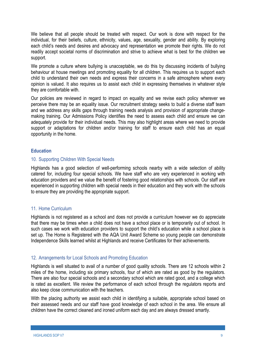We believe that all people should be treated with respect. Our work is done with respect for the individual, for their beliefs, culture, ethnicity, values, age, sexuality, gender and ability. By exploring each child's needs and desires and advocacy and representation we promote their rights. We do not readily accept societal norms of discrimination and strive to achieve what is best for the children we support.

We promote a culture where bullying is unacceptable, we do this by discussing incidents of bullying behaviour at house meetings and promoting equality for all children. This requires us to support each child to understand their own needs and express their concerns in a safe atmosphere where every opinion is valued. It also requires us to assist each child in expressing themselves in whatever style they are comfortable with.

Our policies are reviewed in regard to impact on equality and we revise each policy wherever we perceive there may be an equality issue. Our recruitment strategy seeks to build a diverse staff team and we address any skills gaps through training needs analysis and provision of appropriate changemaking training. Our Admissions Policy identifies the need to assess each child and ensure we can adequately provide for their individual needs. This may also highlight areas where we need to provide support or adaptations for children and/or training for staff to ensure each child has an equal opportunity in the home.

## **Education**

## 10. Supporting Children With Special Needs

Highlands has a good selection of well-performing schools nearby with a wide selection of ability catered for, including four special schools. We have staff who are very experienced in working with education providers and we value the benefit of fostering good relationships with schools. Our staff are experienced in supporting children with special needs in their education and they work with the schools to ensure they are providing the appropriate support.

# 11. Home Curriculum

Highlands is not registered as a school and does not provide a curriculum however we do appreciate that there may be times when a child does not have a school place or is temporarily out of school. In such cases we work with education providers to support the child's education while a school place is set up. The Home is Registered with the AQA Unit Award Scheme so young people can demonstrate Independence Skills learned whilst at Highlands and receive Certificates for their achievements.

# 12. Arrangements for Local Schools and Promoting Education

Highlands is well situated to avail of a number of good quality schools. There are 12 schools within 2 miles of the home, including six primary schools, four of which are rated as good by the regulators. There are also four special schools and a secondary school which are rated good, and a college which is rated as excellent. We review the performance of each school through the regulators reports and also keep close communication with the teachers.

With the placing authority we assist each child in identifying a suitable, appropriate school based on their assessed needs and our staff have good knowledge of each school in the area. We ensure all children have the correct cleaned and ironed uniform each day and are always dressed smartly.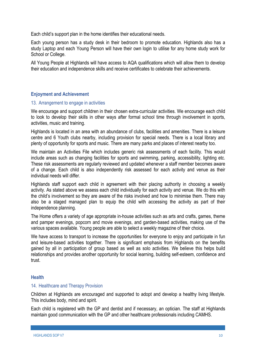Each child's support plan in the home identifies their educational needs.

Each young person has a study desk in their bedroom to promote education. Highlands also has a study Laptop and each Young Person will have their own login to utilise for any home study work for School or College.

All Young People at Highlands will have access to AQA qualifications which will allow them to develop their education and independence skills and receive certificates to celebrate their achievements.

# **Enjoyment and Achievement**

#### 13. Arrangement to engage in activities

We encourage and support children in their chosen extra-curricular activities. We encourage each child to look to develop their skills in other ways after formal school time through involvement in sports, activities, music and training.

Highlands is located in an area with an abundance of clubs, facilities and amenities. There is a leisure centre and 6 Youth clubs nearby, including provision for special needs. There is a local library and plenty of opportunity for sports and music. There are many parks and places of interest nearby too.

We maintain an Activities File which includes generic risk assessments of each facility. This would include areas such as changing facilities for sports and swimming, parking, accessibility, lighting etc. These risk assessments are regularly reviewed and updated whenever a staff member becomes aware of a change. Each child is also independently risk assessed for each activity and venue as their individual needs will differ.

Highlands staff support each child in agreement with their placing authority in choosing a weekly activity. As stated above we assess each child individually for each activity and venue. We do this with the child's involvement so they are aware of the risks involved and how to minimise them. There may also be a staged managed plan to equip the child with accessing the activity as part of their independence planning.

The Home offers a variety of age appropriate in-house activities such as arts and crafts, games, theme and pamper evenings, popcorn and movie evenings, and garden-based activities, making use of the various spaces available. Young people are able to select a weekly magazine of their choice.

We have access to transport to increase the opportunities for everyone to enjoy and participate in fun and leisure-based activities together. There is significant emphasis from Highlands on the benefits gained by all in participation of group based as well as solo activities. We believe this helps build relationships and provides another opportunity for social learning, building self-esteem, confidence and trust.

#### **Health**

#### 14. Healthcare and Therapy Provision

Children at Highlands are encouraged and supported to adopt and develop a healthy living lifestyle. This includes body, mind and spirit.

Each child is registered with the GP and dentist and if necessary, an optician. The staff at Highlands maintain good communication with the GP and other healthcare professionals including CAMHS.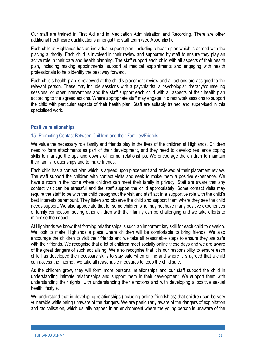Our staff are trained in First Aid and in Medication Administration and Recording. There are other additional healthcare qualifications amongst the staff team (see Appendix1).

Each child at Highlands has an individual support plan, including a health plan which is agreed with the placing authority. Each child is involved in their review and supported by staff to ensure they play an active role in their care and health planning. The staff support each child with all aspects of their health plan, including making appointments, support at medical appointments and engaging with health professionals to help identify the best way forward.

Each child's health plan is reviewed at the child's placement review and all actions are assigned to the relevant person. These may include sessions with a psychiatrist, a psychologist, therapy/counselling sessions, or other interventions and the staff support each child with all aspects of their health plan according to the agreed actions. Where appropriate staff may engage in direct work sessions to support the child with particular aspects of their health plan. Staff are suitably trained and supervised in this specialised work.

## **Positive relationships**

#### 15. Promoting Contact Between Children and their Families/Friends

We value the necessary role family and friends play in the lives of the children at Highlands. Children need to form attachments as part of their development, and they need to develop resilience coping skills to manage the ups and downs of normal relationships. We encourage the children to maintain their family relationships and to make friends.

Each child has a contact plan which is agreed upon placement and reviewed at their placement review. The staff support the children with contact visits and seek to make them a positive experience. We have a room in the home where children can meet their family in privacy. Staff are aware that any contact visit can be stressful and the staff support the child appropriately. Some contact visits may require the staff to be with the child throughout the visit and staff act in a supportive role with the child's best interests paramount. They listen and observe the child and support them where they see the child needs support. We also appreciate that for some children who may not have many positive experiences of family connection, seeing other children with their family can be challenging and we take efforts to minimise the impact.

At Highlands we know that forming relationships is such an important key skill for each child to develop. We look to make Highlands a place where children will be comfortable to bring friends. We also encourage the children to visit their friends and we take all reasonable steps to ensure they are safe with their friends. We recognise that a lot of children meet socially online these days and we are aware of the great dangers of such socialising. We also recognise that it is our responsibility to ensure each child has developed the necessary skills to stay safe when online and where it is agreed that a child can access the internet, we take all reasonable measures to keep the child safe.

As the children grow, they will form more personal relationships and our staff support the child in understanding intimate relationships and support them in their development. We support them with understanding their rights, with understanding their emotions and with developing a positive sexual health lifestyle.

We understand that in developing relationships (including online friendships) that children can be very vulnerable while being unaware of the dangers. We are particularly aware of the dangers of exploitation and radicalisation, which usually happen in an environment where the young person is unaware of the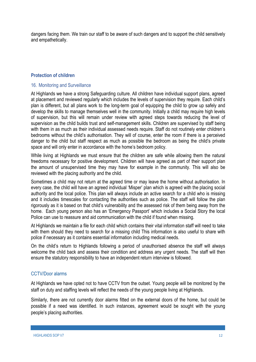dangers facing them. We train our staff to be aware of such dangers and to support the child sensitively and empathetically.

# **Protection of children**

#### 16. Monitoring and Surveillance

At Highlands we have a strong Safeguarding culture. All children have individual support plans, agreed at placement and reviewed regularly which includes the levels of supervision they require. Each child's plan is different, but all plans work to the long-term goal of equipping the child to grow up safely and develop the skills to manage themselves well in the community. Initially a child may require high levels of supervision, but this will remain under review with agreed steps towards reducing the level of supervision as the child builds trust and self-management skills. Children are supervised by staff being with them in as much as their individual assessed needs require. Staff do not routinely enter children's bedrooms without the child's authorisation. They will of course, enter the room if there is a perceived danger to the child but staff respect as much as possible the bedroom as being the child's private space and will only enter in accordance with the home's bedroom policy.

While living at Highlands we must ensure that the children are safe while allowing them the natural freedoms necessary for positive development. Children will have agreed as part of their support plan the amount of unsupervised time they may have for example in the community. This will also be reviewed with the placing authority and the child.

Sometimes a child may not return at the agreed time or may leave the home without authorisation. In every case, the child will have an agreed individual 'Misper' plan which is agreed with the placing social authority and the local police. This plan will always include an active search for a child who is missing and it includes timescales for contacting the authorities such as police. The staff will follow the plan rigorously as it is based on that child's vulnerability and the assessed risk of them being away from the home. Each young person also has an 'Emergency Passport' which includes a Social Story the local Police can use to reassure and aid communication with the child if found when missing.

At Highlands we maintain a file for each child which contains their vital information staff will need to take with them should they need to search for a missing child This information is also useful to share with police if necessary as it contains essential information including medical needs.

On the child's return to Highlands following a period of unauthorised absence the staff will always welcome the child back and assess their condition and address any urgent needs. The staff will then ensure the statutory responsibility to have an independent return interview is followed.

#### CCTV/Door alarms

At Highlands we have opted not to have CCTV from the outset. Young people will be monitored by the staff on duty and staffing levels will reflect the needs of the young people living at Highlands.

Similarly, there are not currently door alarms fitted on the external doors of the home, but could be possible if a need was identified. In such instances, agreement would be sought with the young people's placing authorities.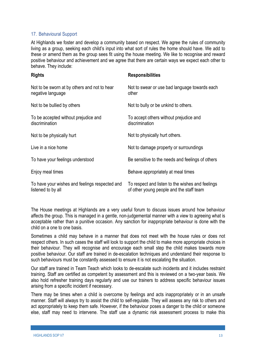# 17. Behavioural Support

At Highlands we foster and develop a community based on respect. We agree the rules of community living as a group, seeking each child's input into what sort of rules the home should have. We add to these or amend them as the group sees fit using the house meeting. We like to recognise and reward positive behaviour and achievement and we agree that there are certain ways we expect each other to behave. They include:

| <b>Rights</b>                                                        | <b>Responsibilities</b>                                                                      |
|----------------------------------------------------------------------|----------------------------------------------------------------------------------------------|
| Not to be sworn at by others and not to hear<br>negative language    | Not to swear or use bad language towards each<br>other                                       |
| Not to be bullied by others                                          | Not to bully or be unkind to others.                                                         |
| To be accepted without prejudice and<br>discrimination               | To accept others without prejudice and<br>discrimination                                     |
| Not to be physically hurt                                            | Not to physically hurt others.                                                               |
| Live in a nice home                                                  | Not to damage property or surroundings                                                       |
| To have your feelings understood                                     | Be sensitive to the needs and feelings of others                                             |
| Enjoy meal times                                                     | Behave appropriately at meal times                                                           |
| To have your wishes and feelings respected and<br>listened to by all | To respect and listen to the wishes and feelings<br>of other young people and the staff team |

The House meetings at Highlands are a very useful forum to discuss issues around how behaviour affects the group. This is managed in a gentle, non-judgemental manner with a view to agreeing what is acceptable rather than a punitive occasion. Any sanction for inappropriate behaviour is done with the child on a one to one basis.

Sometimes a child may behave in a manner that does not meet with the house rules or does not respect others. In such cases the staff will look to support the child to make more appropriate choices in their behaviour. They will recognise and encourage each small step the child makes towards more positive behaviour. Our staff are trained in de-escalation techniques and understand their response to such behaviours must be constantly assessed to ensure it is not escalating the situation.

Our staff are trained in Team Teach which looks to de-escalate such incidents and it includes restraint training. Staff are certified as competent by assessment and this is reviewed on a two-year basis. We also hold refresher training days regularly and use our trainers to address specific behaviour issues arising from a specific incident if necessary.

There may be times when a child is overcome by feelings and acts inappropriately or in an unsafe manner. Staff will always try to assist the child to self-regulate. They will assess any risk to others and act appropriately to keep them safe. However, if the behaviour poses a danger to the child or someone else, staff may need to intervene. The staff use a dynamic risk assessment process to make this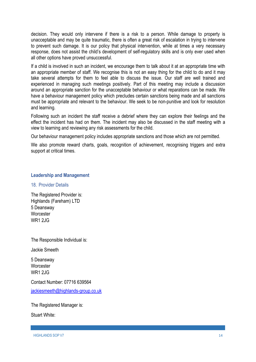decision. They would only intervene if there is a risk to a person. While damage to property is unacceptable and may be quite traumatic, there is often a great risk of escalation in trying to intervene to prevent such damage. It is our policy that physical intervention, while at times a very necessary response, does not assist the child's development of self-regulatory skills and is only ever used when all other options have proved unsuccessful.

If a child is involved in such an incident, we encourage them to talk about it at an appropriate time with an appropriate member of staff. We recognise this is not an easy thing for the child to do and it may take several attempts for them to feel able to discuss the issue. Our staff are well trained and experienced in managing such meetings positively. Part of this meeting may include a discussion around an appropriate sanction for the unacceptable behaviour or what reparations can be made. We have a behaviour management policy which precludes certain sanctions being made and all sanctions must be appropriate and relevant to the behaviour. We seek to be non-punitive and look for resolution and learning.

Following such an incident the staff receive a debrief where they can explore their feelings and the effect the incident has had on them. The incident may also be discussed in the staff meeting with a view to learning and reviewing any risk assessments for the child.

Our behaviour management policy includes appropriate sanctions and those which are not permitted.

We also promote reward charts, goals, recognition of achievement, recognising triggers and extra support at critical times.

# **Leadership and Management**

#### 18. Provider Details

The Registered Provider is: Highlands (Fareham) LTD 5 Deansway **Worcester** WR1 2JG

The Responsible Individual is:

Jackie Smeeth

5 Deansway **Worcester** WR1 2JG

Contact Number: 07716 639564 jackiesmeeth@highlands-group.co.uk

The Registered Manager is:

Stuart White: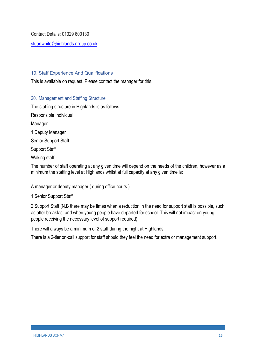Contact Details: 01329 600130

stuartwhite@highlands-group.co.uk

## 19. Staff Experience And Qualifications

This is available on request. Please contact the manager for this.

## 20. Management and Staffing Structure

The staffing structure in Highlands is as follows:

Responsible Individual Manager 1 Deputy Manager Senior Support Staff Support Staff Waking staff The number of staff operating at any given time will depend on the needs of the children, however as a minimum the staffing level at Highlands whilst at full capacity at any given time is:

A manager or deputy manager ( during office hours )

#### 1 Senior Support Staff

2 Support Staff (N.B there may be times when a reduction in the need for support staff is possible, such as after breakfast and when young people have departed for school. This will not impact on young people receiving the necessary level of support required)

There will always be a minimum of 2 staff during the night at Highlands.

There is a 2-tier on-call support for staff should they feel the need for extra or management support.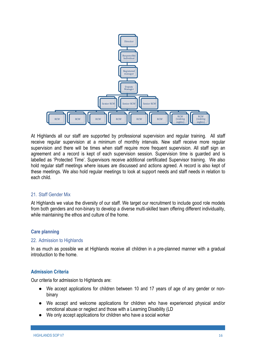

At Highlands all our staff are supported by professional supervision and regular training. All staff receive regular supervision at a minimum of monthly intervals. New staff receive more regular supervision and there will be times when staff require more frequent supervision. All staff sign an agreement and a record is kept of each supervision session. Supervision time is guarded and is labelled as 'Protected Time'. Supervisors receive additional certificated Supervisor training. We also hold regular staff meetings where issues are discussed and actions agreed. A record is also kept of these meetings. We also hold regular meetings to look at support needs and staff needs in relation to each child.

#### 21. Staff Gender Mix

At Highlands we value the diversity of our staff. We target our recruitment to include good role models from both genders and non-binary to develop a diverse multi-skilled team offering different individuality, while maintaining the ethos and culture of the home.

# **Care planning**

#### 22. Admission to Highlands

In as much as possible we at Highlands receive all children in a pre-planned manner with a gradual introduction to the home.

#### **Admission Criteria**

Our criteria for admission to Highlands are:

- We accept applications for children between 10 and 17 years of age of any gender or nonbinary
- We accept and welcome applications for children who have experienced physical and/or emotional abuse or neglect and those with a Learning Disability (LD
- We only accept applications for children who have a social worker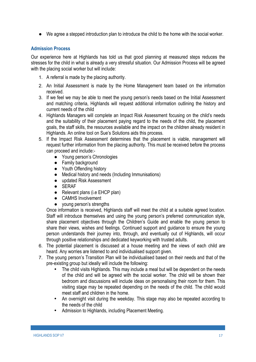● We agree a stepped introduction plan to introduce the child to the home with the social worker.

# **Admission Process**

Our experience here at Highlands has told us that good planning at measured steps reduces the stresses for the child in what is already a very stressful situation. Our Admission Process will be agreed with the placing social worker but will include:

- 1. A referral is made by the placing authority.
- 2. An Initial Assessment is made by the Home Management team based on the information received.
- 3. If we feel we may be able to meet the young person's needs based on the Initial Assessment and matching criteria, Highlands will request additional information outlining the history and current needs of the child
- 4. Highlands Managers will complete an Impact Risk Assessment focusing on the child's needs and the suitability of their placement paying regard to the needs of the child, the placement goals, the staff skills, the resources available and the impact on the children already resident in Highlands. An online tool on Sue's Solutions aids this process.
- 5. If the Impact Risk Assessment determines that the placement is viable, management will request further information from the placing authority. This must be received before the process can proceed and include:-
	- Young person's Chronologies
	- Family background
	- Youth Offending history
	- Medical history and needs (Including Immunisations)
	- updated Risk Assessment
	- SERAF
	- Relevant plans (i.e EHCP plan)
	- CAMHS Involvement
	- young person's strengths

Once information is received, Highlands staff will meet the child at a suitable agreed location. Staff will introduce themselves and using the young person's preferred communication style, share placement objectives through the Children's Guide and enable the young person to share their views, wishes and feelings. Continued support and guidance to ensure the young person understands their journey into, through, and eventually out of Highlands, will occur through positive relationships and dedicated keyworking with trusted adults.

- 6. The potential placement is discussed at a house meeting and the views of each child are heard. Any worries are listened to and individualised support given.
- 7. The young person's Transition Plan will be individualised based on their needs and that of the pre-existing group but ideally will include the following:
	- The child visits Highlands. This may include a meal but will be dependent on the needs of the child and will be agreed with the social worker. The child will be shown their bedroom and discussions will include ideas on personalising their room for them. This visiting stage may be repeated depending on the needs of the child. The child would meet staff and children in the home.
	- An overnight visit during the weekday. This stage may also be repeated according to the needs of the child
	- Admission to Highlands, including Placement Meeting.